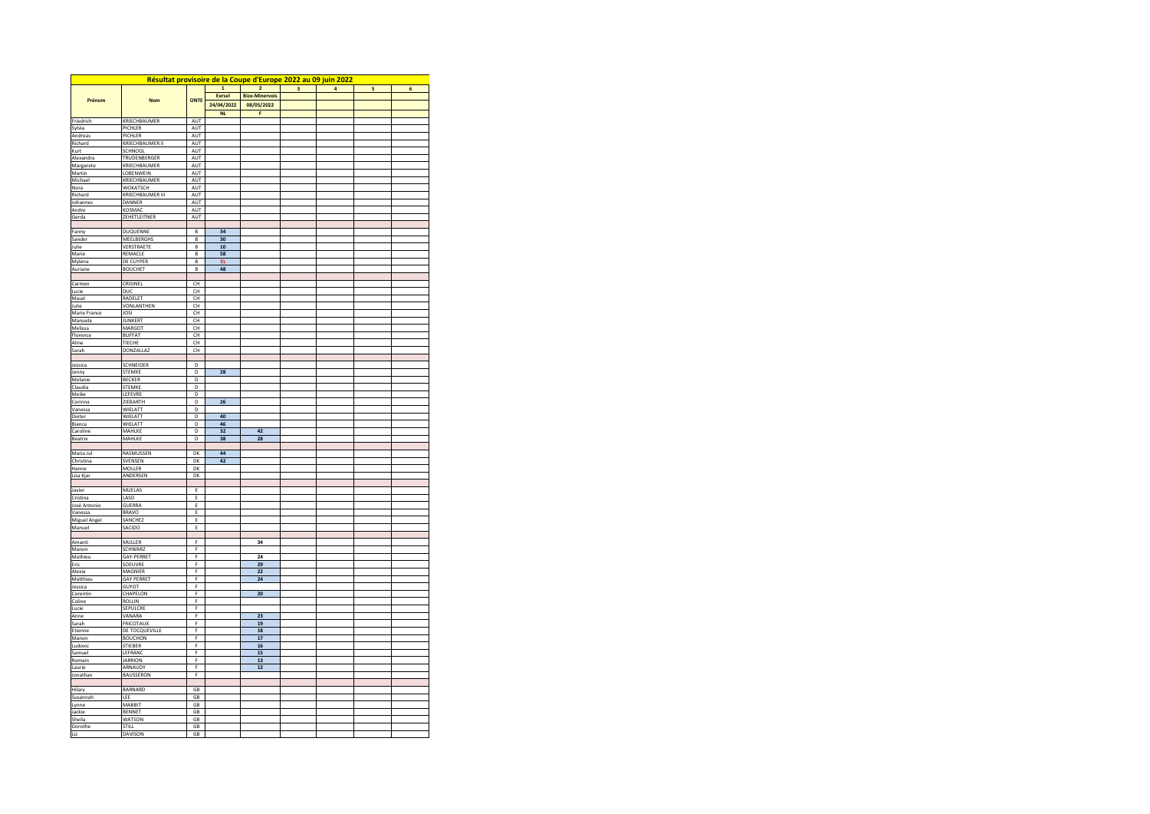| Résultat provisoire de la Coupe d'Europe 2022 au 09 juin 2022 |                                   |                |              |                       |                         |                |   |                |  |  |  |
|---------------------------------------------------------------|-----------------------------------|----------------|--------------|-----------------------|-------------------------|----------------|---|----------------|--|--|--|
|                                                               |                                   |                | $\mathbf{1}$ | $\overline{2}$        | $\overline{\mathbf{3}}$ | $\overline{a}$ | 5 | $\overline{6}$ |  |  |  |
| Prénom                                                        | <b>Nom</b>                        | ONTE           | Eersel       | <b>Bize-Minervois</b> |                         |                |   |                |  |  |  |
|                                                               |                                   |                | 24/04/2022   | 08/05/2022            |                         |                |   |                |  |  |  |
|                                                               |                                   |                | <b>NL</b>    | F.                    |                         |                |   |                |  |  |  |
| Friedrich<br>Svlvia                                           | KRIECHBAUMER<br>PICHLER           | AUT<br>AUT     |              |                       |                         |                |   |                |  |  |  |
| Andreas                                                       | <b>PICHLER</b>                    | AUT            |              |                       |                         |                |   |                |  |  |  |
| Richard                                                       | KRIECHBAUMER II                   | AUT            |              |                       |                         |                |   |                |  |  |  |
| Kurt                                                          | SCHNOGL                           | AUT            |              |                       |                         |                |   |                |  |  |  |
| Alexandra                                                     | TRUDENBERGER                      | <b>AUT</b>     |              |                       |                         |                |   |                |  |  |  |
| Margarete                                                     | KRIECHBAUMER                      | AUT            |              |                       |                         |                |   |                |  |  |  |
| Martin                                                        | LOBENWEIN                         | AUT            |              |                       |                         |                |   |                |  |  |  |
| Michael                                                       | KRIECHBAUMER                      | <b>AUT</b>     |              |                       |                         |                |   |                |  |  |  |
| Nora                                                          | WOKATSCH                          | AUT            |              |                       |                         |                |   |                |  |  |  |
| Richard                                                       | KRIECHBAUMER III<br>DANNER        | AUT            |              |                       |                         |                |   |                |  |  |  |
| Johannes<br>Andre                                             | KOSMAC                            | AUT<br>AUT     |              |                       |                         |                |   |                |  |  |  |
| Gerda                                                         | ZEHETLEITNER                      | <b>AUT</b>     |              |                       |                         |                |   |                |  |  |  |
|                                                               |                                   |                |              |                       |                         |                |   |                |  |  |  |
| Fanny                                                         | DUQUENNE                          | B              | 34           |                       |                         |                |   |                |  |  |  |
| Sander                                                        | MEELBERGHS                        | B              | 30           |                       |                         |                |   |                |  |  |  |
| lulie                                                         | VERSTRAETE                        | R.             | 10           |                       |                         |                |   |                |  |  |  |
| Marie                                                         | REMACLE                           | B              | 58           |                       |                         |                |   |                |  |  |  |
| Mylena                                                        | DE CUYPER                         | B              | EL.          |                       |                         |                |   |                |  |  |  |
| Auriane                                                       | <b>BOUCHET</b>                    | B              | 48           |                       |                         |                |   |                |  |  |  |
| Carmen                                                        | CRISINEL                          | CH             |              |                       |                         |                |   |                |  |  |  |
| Lucie                                                         | DUC                               | CH             |              |                       |                         |                |   |                |  |  |  |
| Maud                                                          | RADELET                           | <b>CH</b>      |              |                       |                         |                |   |                |  |  |  |
| Julie                                                         | VONLANTHEN                        | CH             |              |                       |                         |                |   |                |  |  |  |
| Marie France                                                  | <b>JOSI</b>                       | CH             |              |                       |                         |                |   |                |  |  |  |
| Manuela                                                       | <b>JUNKERT</b>                    | CH             |              |                       |                         |                |   |                |  |  |  |
| Melissa                                                       | MARGOT                            | CH             |              |                       |                         |                |   |                |  |  |  |
| <b>Florence</b>                                               | <b>RUFFAT</b>                     | C <sub>H</sub> |              |                       |                         |                |   |                |  |  |  |
| Aline                                                         | <b>TIECHE</b>                     | CH             |              |                       |                         |                |   |                |  |  |  |
| Sarah                                                         | DONZALLAZ                         | CH             |              |                       |                         |                |   |                |  |  |  |
| Jessica                                                       | SCHNEIDER                         | D              |              |                       |                         |                |   |                |  |  |  |
| Jenny                                                         | STEMKE                            | D              | 28           |                       |                         |                |   |                |  |  |  |
| Melanie                                                       | <b>BECKER</b>                     | D              |              |                       |                         |                |   |                |  |  |  |
| Claudia                                                       | STEMKE                            | D              |              |                       |                         |                |   |                |  |  |  |
| Meike                                                         | LEFEVRE                           | D              |              |                       |                         |                |   |                |  |  |  |
| Corinna                                                       | <b>7IFRARTH</b>                   | <sup>D</sup>   | 26           |                       |                         |                |   |                |  |  |  |
| Vanessa                                                       | WIELATT                           | D              |              |                       |                         |                |   |                |  |  |  |
| Dieter                                                        | WIELATT                           | D              | 40           |                       |                         |                |   |                |  |  |  |
| Bianca                                                        | WIELATT                           | D              | 46           |                       |                         |                |   |                |  |  |  |
| Caroline<br>Beatrix                                           | MAHLKE<br>MAHLKE                  | D<br>D         | 32<br>38     | 42<br>28              |                         |                |   |                |  |  |  |
|                                                               |                                   |                |              |                       |                         |                |   |                |  |  |  |
| Maria Jul                                                     | RASMUSSEN                         | DK             | 44           |                       |                         |                |   |                |  |  |  |
| Christina                                                     | SVENSEN                           | DK             | 42           |                       |                         |                |   |                |  |  |  |
| Hanne                                                         | MOLLER                            | DK             |              |                       |                         |                |   |                |  |  |  |
| Lisa Kjar                                                     | ANDERSEN                          | DK             |              |                       |                         |                |   |                |  |  |  |
|                                                               |                                   |                |              |                       |                         |                |   |                |  |  |  |
| Javier                                                        | <b>MUELAS</b>                     | E              |              |                       |                         |                |   |                |  |  |  |
| Cristina                                                      | LASO                              | E              |              |                       |                         |                |   |                |  |  |  |
| José Antonio<br>Vanessa                                       | <b>GUERRA</b><br><b>BRAVO</b>     | E<br>E         |              |                       |                         |                |   |                |  |  |  |
| Miguel Angel                                                  | SANCHEZ                           | E              |              |                       |                         |                |   |                |  |  |  |
| Manuel                                                        | SACIDO                            | E              |              |                       |                         |                |   |                |  |  |  |
|                                                               |                                   |                |              |                       |                         |                |   |                |  |  |  |
| Amanti                                                        | MULLER                            | F              |              | 34                    |                         |                |   |                |  |  |  |
| Manon                                                         | SCHWARZ                           | $\mathsf F$    |              |                       |                         |                |   |                |  |  |  |
| Mathieu                                                       | <b>GAY-PERRET</b>                 | F              |              | 24                    |                         |                |   |                |  |  |  |
| Eric                                                          | SOEUVRE                           | F              |              | 29                    |                         |                |   |                |  |  |  |
| Alexia                                                        | MAGNIER                           | F              |              | 22                    |                         |                |   |                |  |  |  |
| Matthieu                                                      | <b>GAY PERRET</b><br><b>GUYOT</b> | F<br>F         |              | 24                    |                         |                |   |                |  |  |  |
| Jessica<br>Corentin                                           | CHAPELON                          | F              |              | 20                    |                         |                |   |                |  |  |  |
| Coline                                                        | ROLLIN                            | F              |              |                       |                         |                |   |                |  |  |  |
| Lucie                                                         | SEPULCRE                          | F              |              |                       |                         |                |   |                |  |  |  |
| Anne                                                          | VANARA                            | F              |              | 23                    |                         |                |   |                |  |  |  |
| Sarah                                                         | FRICOTAUX                         | F              |              | 19                    |                         |                |   |                |  |  |  |
| Etienne                                                       | DE TOCQUEVILLE                    | F              |              | 18                    |                         |                |   |                |  |  |  |
| Manon                                                         | <b>BOUCHON</b>                    | $\mathsf F$    |              | 17                    |                         |                |   |                |  |  |  |
| Ludovic                                                       | <b>STIEBER</b>                    | F              |              | 16                    |                         |                |   |                |  |  |  |
| Samuel                                                        | LEFRANC                           | F<br>F         |              | 15                    |                         |                |   |                |  |  |  |
| Romain                                                        | <b>JARRION</b><br>ARNAUDY         | F              |              | 13                    |                         |                |   |                |  |  |  |
| Laurie                                                        | BAUSSERON                         | F              |              | 12                    |                         |                |   |                |  |  |  |
| Jonathan                                                      |                                   |                |              |                       |                         |                |   |                |  |  |  |
| Hilary                                                        | BARNARD                           | GB             |              |                       |                         |                |   |                |  |  |  |
| Susannah                                                      | LEE                               | GB             |              |                       |                         |                |   |                |  |  |  |
| Lynne                                                         | MABBIT                            | GB             |              |                       |                         |                |   |                |  |  |  |
| Jackie                                                        | BENNET                            | GB             |              |                       |                         |                |   |                |  |  |  |
| Sheila                                                        | WATSON                            | GB             |              |                       |                         |                |   |                |  |  |  |
| Dorothe                                                       | <b>STILL</b>                      | GB             |              |                       |                         |                |   |                |  |  |  |
| Liz                                                           | DAVISON                           | GB             |              |                       |                         |                |   |                |  |  |  |